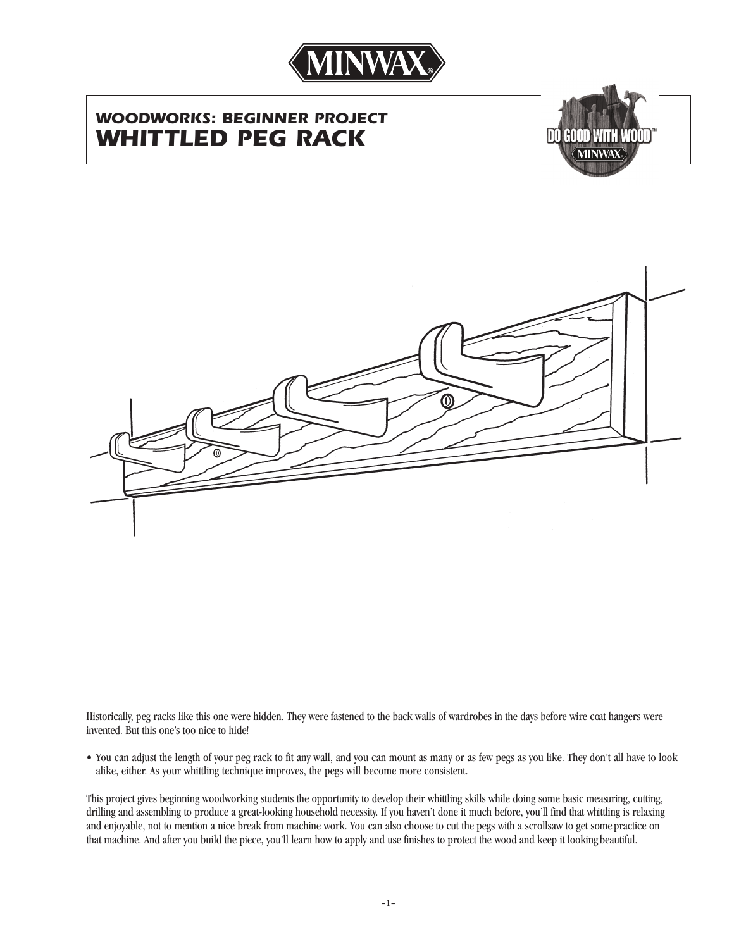

# *WOODWORKS: BEGINNER PROJECT WHITTLED PEG RACK*





Historically, peg racks like this one were hidden. They were fastened to the back walls of wardrobes in the days before wire coat hangers were invented. But this one's too nice to hide!

• You can adjust the length of your peg rack to fit any wall, and you can mount as many or as few pegs as you like. They don't all have to look alike, either. As your whittling technique improves, the pegs will become more consistent.

This project gives beginning woodworking students the opportunity to develop their whittling skills while doing some basic measuring, cutting, drilling and assembling to produce a great-looking household necessity. If you haven't done it much before, you'll find that whittling is relaxing and enjoyable, not to mention a nice break from machine work. You can also choose to cut the pegs with a scrollsaw to get some practice on that machine. And after you build the piece, you'll learn how to apply and use finishes to protect the wood and keep it looking beautiful.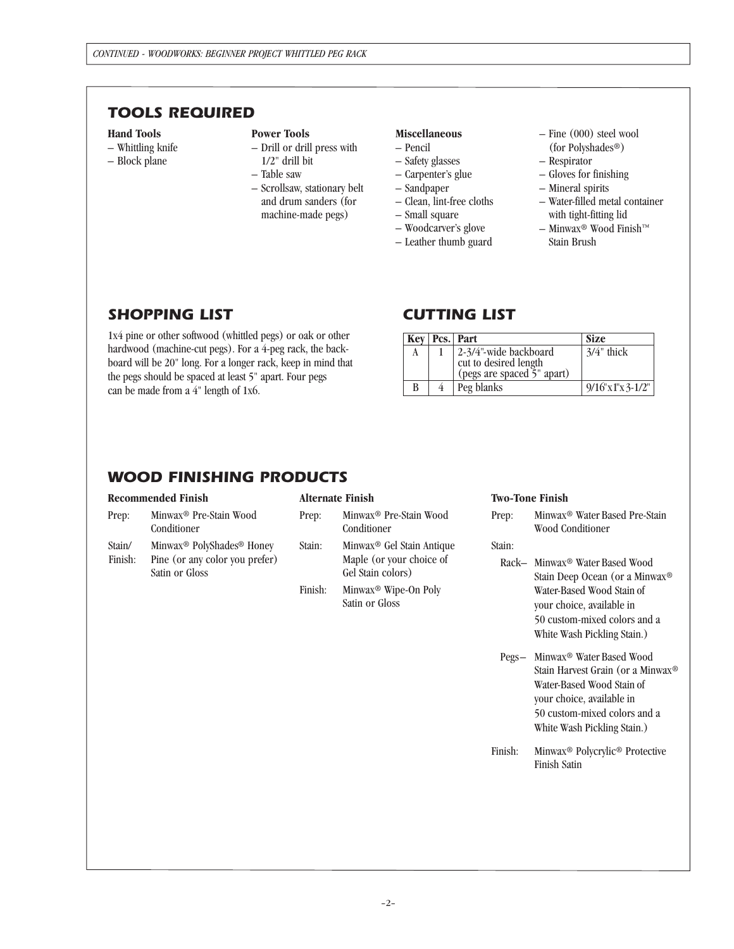### *TOOLS REQUIRED*

#### **Hand Tools**

- Whittling knife
- Block plane

#### **Power Tools**

- Drill or drill press with 1/2" drill bit
- Table saw
- Scrollsaw, stationary belt and drum sanders (for machine-made pegs)

#### **Miscellaneous**

- Pencil
- Safety glasses
- Carpenter's glue
- Sandpaper
- Clean, lint-free cloths
- Small square
- Woodcarver's glove
- Leather thumb guard
- 
- Fine (000) steel wool (for Polyshades®)
- Respirator
- Gloves for finishing
- Mineral spirits
- Water-filled metal container with tight-fitting lid
- Minwax® Wood Finish™ Stain Brush

### *SHOPPING LIST*

1x4 pine or other softwood (whittled pegs) or oak or other hardwood (machine-cut pegs). For a 4-peg rack, the backboard will be 20" long. For a longer rack, keep in mind that the pegs should be spaced at least 5" apart. Four pegs can be made from a 4" length of 1x6.

### *CUTTING LIST*

| Key | Pcs. Part                                                                    | <b>Size</b>         |
|-----|------------------------------------------------------------------------------|---------------------|
| A   | 2-3/4"-wide backboard<br>cut to desired length<br>(pegs are spaced 5" apart) | $3/4$ " thick       |
| B   | Peg blanks                                                                   | $9/16$ "x1"x 3-1/2" |

### *WOOD FINISHING PRODUCTS*

#### **Recommended Finish** Prep: Minwax® Pre-Stain Wood Conditioner Stain/ Minwax® PolyShades® Honey Finish: Pine (or any color you prefer) Satin or Gloss **Alternate Finish**  Prep: Minwax® Pre-Stain Wood Conditioner Stain: Minwax® Gel Stain Antique Maple (or your choice of Gel Stain colors) Finish: Minwax® Wipe-On Poly Satin or Gloss **Two-Tone Finish** Prep: Minwax® Water Based Pre-Stain Wood Conditioner Stain: Rack– Minwax® Water Based Wood Stain Deep Ocean (or a Minwax® Water-Based Wood Stain of your choice, available in 50 custom-mixed colors and a White Wash Pickling Stain.) Pegs– Minwax® Water Based Wood Stain Harvest Grain (or a Minwax® Water-Based Wood Stain of your choice, available in 50 custom-mixed colors and a White Wash Pickling Stain.) Finish: Minwax® Polycrylic® Protective Finish Satin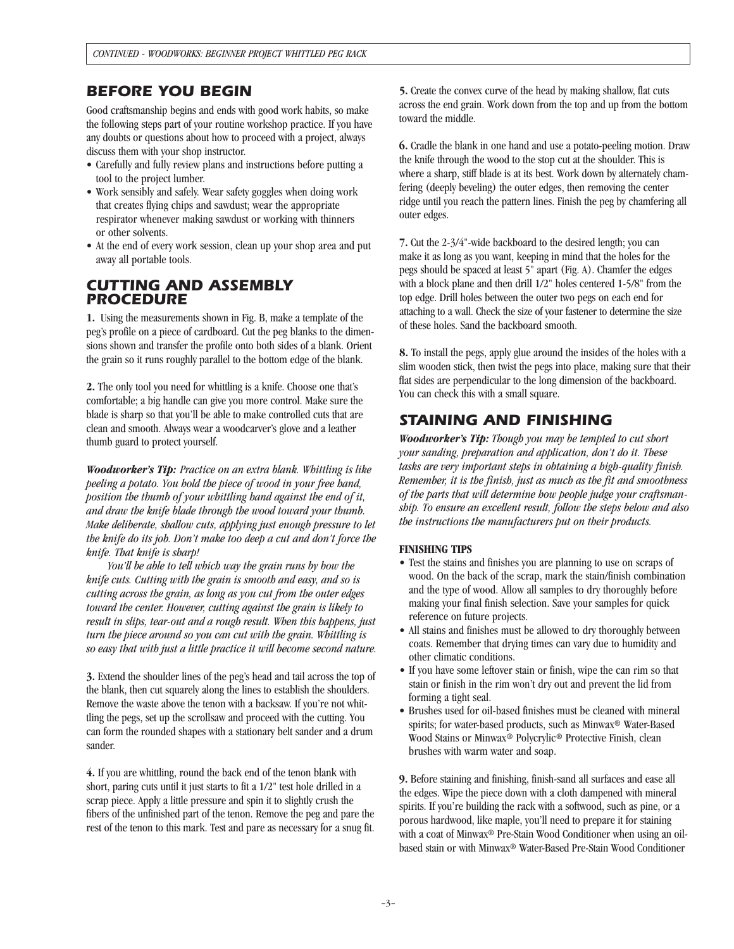### *BEFORE YOU BEGIN*

Good craftsmanship begins and ends with good work habits, so make the following steps part of your routine workshop practice. If you have any doubts or questions about how to proceed with a project, always discuss them with your shop instructor.

- Carefully and fully review plans and instructions before putting a tool to the project lumber.
- Work sensibly and safely. Wear safety goggles when doing work that creates flying chips and sawdust; wear the appropriate respirator whenever making sawdust or working with thinners or other solvents.
- At the end of every work session, clean up your shop area and put away all portable tools.

### *CUTTING AND ASSEMBLY PROCEDURE*

**1.** Using the measurements shown in Fig. B, make a template of the peg's profile on a piece of cardboard. Cut the peg blanks to the dimensions shown and transfer the profile onto both sides of a blank. Orient the grain so it runs roughly parallel to the bottom edge of the blank.

**2.** The only tool you need for whittling is a knife. Choose one that's comfortable; a big handle can give you more control. Make sure the blade is sharp so that you'll be able to make controlled cuts that are clean and smooth. Always wear a woodcarver's glove and a leather thumb guard to protect yourself.

*Woodworker's Tip: Practice on an extra blank. Whittling is like peeling a potato. You hold the piece of wood in your free hand, position the thumb of your whittling hand against the end of it, and draw the knife blade through the wood toward your thumb. Make deliberate, shallow cuts, applying just enough pressure to let the knife do its job. Don't make too deep a cut and don't force the knife. That knife is sharp!*

*You'll be able to tell which way the grain runs by how the knife cuts. Cutting with the grain is smooth and easy, and so is cutting across the grain, as long as you cut from the outer edges toward the center. However, cutting against the grain is likely to result in slips, tear-out and a rough result. When this happens, just turn the piece around so you can cut with the grain. Whittling is so easy that with just a little practice it will become second nature.*

**3.** Extend the shoulder lines of the peg's head and tail across the top of the blank, then cut squarely along the lines to establish the shoulders. Remove the waste above the tenon with a backsaw. If you're not whittling the pegs, set up the scrollsaw and proceed with the cutting. You can form the rounded shapes with a stationary belt sander and a drum sander.

**4.** If you are whittling, round the back end of the tenon blank with short, paring cuts until it just starts to fit a 1/2" test hole drilled in a scrap piece. Apply a little pressure and spin it to slightly crush the fibers of the unfinished part of the tenon. Remove the peg and pare the rest of the tenon to this mark. Test and pare as necessary for a snug fit.

**5.** Create the convex curve of the head by making shallow, flat cuts across the end grain. Work down from the top and up from the bottom toward the middle.

**6.** Cradle the blank in one hand and use a potato-peeling motion. Draw the knife through the wood to the stop cut at the shoulder. This is where a sharp, stiff blade is at its best. Work down by alternately chamfering (deeply beveling) the outer edges, then removing the center ridge until you reach the pattern lines. Finish the peg by chamfering all outer edges.

**7.** Cut the 2-3/4"-wide backboard to the desired length; you can make it as long as you want, keeping in mind that the holes for the pegs should be spaced at least 5" apart (Fig. A). Chamfer the edges with a block plane and then drill 1/2" holes centered 1-5/8" from the top edge. Drill holes between the outer two pegs on each end for attaching to a wall. Check the size of your fastener to determine the size of these holes. Sand the backboard smooth.

**8.** To install the pegs, apply glue around the insides of the holes with a slim wooden stick, then twist the pegs into place, making sure that their flat sides are perpendicular to the long dimension of the backboard. You can check this with a small square.

## *STAINING AND FINISHING*

*Woodworker's Tip: Though you may be tempted to cut short your sanding, preparation and application, don't do it. These tasks are very important steps in obtaining a high-quality finish. Remember, it is the finish, just as much as the fit and smoothness of the parts that will determine how people judge your craftsmanship. To ensure an excellent result, follow the steps below and also the instructions the manufacturers put on their products.*

### **FINISHING TIPS**

- Test the stains and finishes you are planning to use on scraps of wood. On the back of the scrap, mark the stain/finish combination and the type of wood. Allow all samples to dry thoroughly before making your final finish selection. Save your samples for quick reference on future projects.
- All stains and finishes must be allowed to dry thoroughly between coats. Remember that drying times can vary due to humidity and other climatic conditions.
- If you have some leftover stain or finish, wipe the can rim so that stain or finish in the rim won't dry out and prevent the lid from forming a tight seal.
- Brushes used for oil-based finishes must be cleaned with mineral spirits; for water-based products, such as Minwax® Water-Based Wood Stains or Minwax® Polycrylic® Protective Finish, clean brushes with warm water and soap.

**9.** Before staining and finishing, finish-sand all surfaces and ease all the edges. Wipe the piece down with a cloth dampened with mineral spirits. If you're building the rack with a softwood, such as pine, or a porous hardwood, like maple, you'll need to prepare it for staining with a coat of Minwax® Pre-Stain Wood Conditioner when using an oilbased stain or with Minwax® Water-Based Pre-Stain Wood Conditioner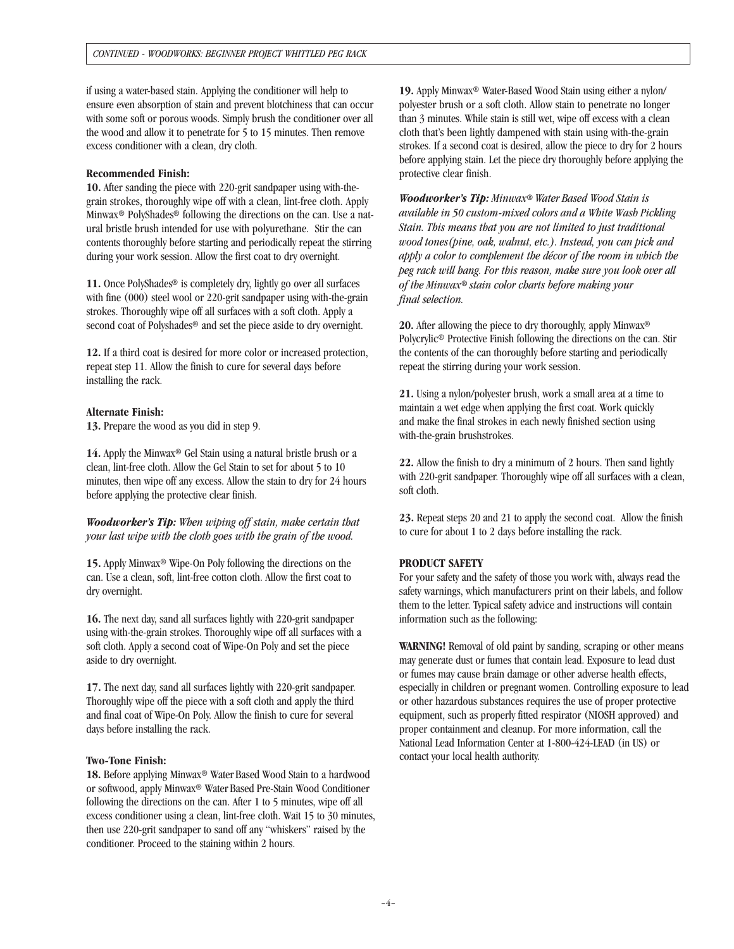if using a water-based stain. Applying the conditioner will help to ensure even absorption of stain and prevent blotchiness that can occur with some soft or porous woods. Simply brush the conditioner over all the wood and allow it to penetrate for 5 to 15 minutes. Then remove excess conditioner with a clean, dry cloth.

#### **Recommended Finish:**

**10.** After sanding the piece with 220-grit sandpaper using with-thegrain strokes, thoroughly wipe off with a clean, lint-free cloth. Apply Minwax® PolyShades® following the directions on the can. Use a natural bristle brush intended for use with polyurethane. Stir the can contents thoroughly before starting and periodically repeat the stirring during your work session. Allow the first coat to dry overnight.

11. Once PolyShades<sup>®</sup> is completely dry, lightly go over all surfaces with fine (000) steel wool or 220-grit sandpaper using with-the-grain strokes. Thoroughly wipe off all surfaces with a soft cloth. Apply a second coat of Polyshades® and set the piece aside to dry overnight.

**12.** If a third coat is desired for more color or increased protection, repeat step 11. Allow the finish to cure for several days before installing the rack.

#### **Alternate Finish:**

**13.** Prepare the wood as you did in step 9.

**14.** Apply the Minwax® Gel Stain using a natural bristle brush or a clean, lint-free cloth. Allow the Gel Stain to set for about 5 to 10 minutes, then wipe off any excess. Allow the stain to dry for 24 hours before applying the protective clear finish.

*Woodworker's Tip: When wiping off stain, make certain that your last wipe with the cloth goes with the grain of the wood.* 

**15.** Apply Minwax® Wipe-On Poly following the directions on the can. Use a clean, soft, lint-free cotton cloth. Allow the first coat to dry overnight.

**16.** The next day, sand all surfaces lightly with 220-grit sandpaper using with-the-grain strokes. Thoroughly wipe off all surfaces with a soft cloth. Apply a second coat of Wipe-On Poly and set the piece aside to dry overnight.

**17.** The next day, sand all surfaces lightly with 220-grit sandpaper. Thoroughly wipe off the piece with a soft cloth and apply the third and final coat of Wipe-On Poly. Allow the finish to cure for several days before installing the rack.

#### **Two-Tone Finish:**

**18.** Before applying Minwax® Water Based Wood Stain to a hardwood or softwood, apply Minwax® Water Based Pre-Stain Wood Conditioner following the directions on the can. After 1 to 5 minutes, wipe off all excess conditioner using a clean, lint-free cloth. Wait 15 to 30 minutes, then use 220-grit sandpaper to sand off any "whiskers" raised by the conditioner. Proceed to the staining within 2 hours.

**19.** Apply Minwax® Water-Based Wood Stain using either a nylon/ polyester brush or a soft cloth. Allow stain to penetrate no longer than 3 minutes. While stain is still wet, wipe off excess with a clean cloth that's been lightly dampened with stain using with-the-grain strokes. If a second coat is desired, allow the piece to dry for 2 hours before applying stain. Let the piece dry thoroughly before applying the protective clear finish.

*Woodworker's Tip: Minwax® Water Based Wood Stain is available in 50 custom-mixed colors and a White Wash Pickling Stain. This means that you are not limited to just traditional wood tones(pine, oak, walnut, etc.). Instead, you can pick and apply a color to complement the décor of the room in which the peg rack will hang. For this reason, make sure you look over all of the Minwax® stain color charts before making your final selection.*

**20.** After allowing the piece to dry thoroughly, apply Minwax® Polycrylic® Protective Finish following the directions on the can. Stir the contents of the can thoroughly before starting and periodically repeat the stirring during your work session.

**21.** Using a nylon/polyester brush, work a small area at a time to maintain a wet edge when applying the first coat. Work quickly and make the final strokes in each newly finished section using with-the-grain brushstrokes.

**22.** Allow the finish to dry a minimum of 2 hours. Then sand lightly with 220-grit sandpaper. Thoroughly wipe off all surfaces with a clean, soft cloth.

**23.** Repeat steps 20 and 21 to apply the second coat. Allow the finish to cure for about 1 to 2 days before installing the rack.

#### **PRODUCT SAFETY**

For your safety and the safety of those you work with, always read the safety warnings, which manufacturers print on their labels, and follow them to the letter. Typical safety advice and instructions will contain information such as the following:

**WARNING!** Removal of old paint by sanding, scraping or other means may generate dust or fumes that contain lead. Exposure to lead dust or fumes may cause brain damage or other adverse health effects, especially in children or pregnant women. Controlling exposure to lead or other hazardous substances requires the use of proper protective equipment, such as properly fitted respirator (NIOSH approved) and proper containment and cleanup. For more information, call the National Lead Information Center at 1-800-424-LEAD (in US) or contact your local health authority.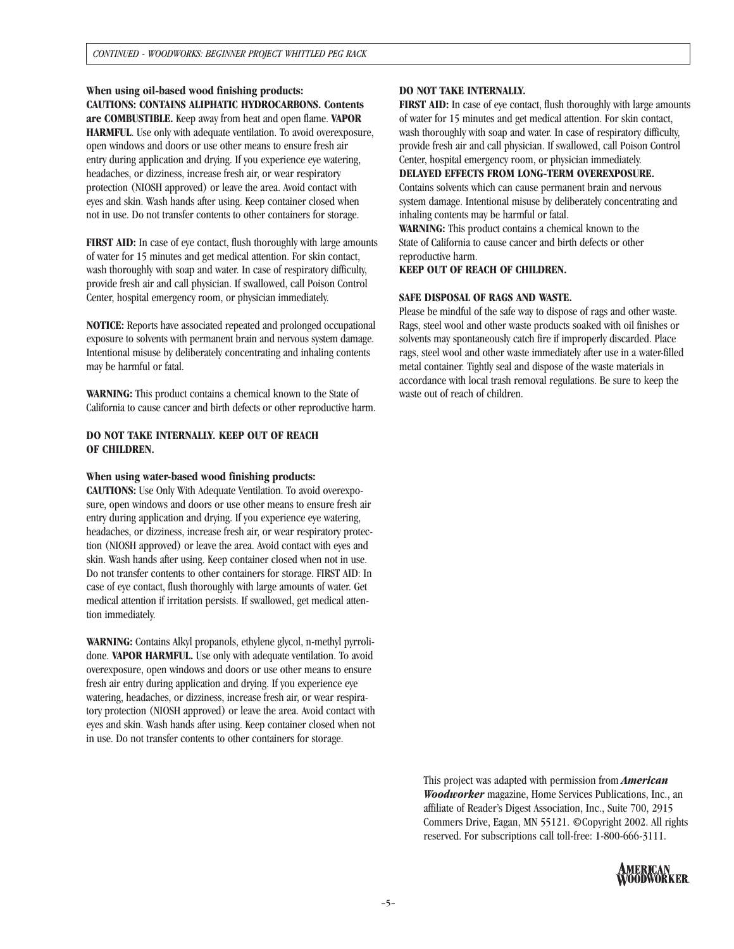**When using oil-based wood finishing products: CAUTIONS: CONTAINS ALIPHATIC HYDROCARBONS. Contents are COMBUSTIBLE.** Keep away from heat and open flame. **VAPOR HARMFUL**. Use only with adequate ventilation. To avoid overexposure, open windows and doors or use other means to ensure fresh air entry during application and drying. If you experience eye watering, headaches, or dizziness, increase fresh air, or wear respiratory protection (NIOSH approved) or leave the area. Avoid contact with eyes and skin. Wash hands after using. Keep container closed when not in use. Do not transfer contents to other containers for storage.

**FIRST AID:** In case of eye contact, flush thoroughly with large amounts of water for 15 minutes and get medical attention. For skin contact, wash thoroughly with soap and water. In case of respiratory difficulty, provide fresh air and call physician. If swallowed, call Poison Control Center, hospital emergency room, or physician immediately.

**NOTICE:** Reports have associated repeated and prolonged occupational exposure to solvents with permanent brain and nervous system damage. Intentional misuse by deliberately concentrating and inhaling contents may be harmful or fatal.

**WARNING:** This product contains a chemical known to the State of California to cause cancer and birth defects or other reproductive harm.

### **DO NOT TAKE INTERNALLY. KEEP OUT OF REACH OF CHILDREN.**

#### **When using water-based wood finishing products:**

**CAUTIONS:** Use Only With Adequate Ventilation. To avoid overexposure, open windows and doors or use other means to ensure fresh air entry during application and drying. If you experience eye watering, headaches, or dizziness, increase fresh air, or wear respiratory protection (NIOSH approved) or leave the area. Avoid contact with eyes and skin. Wash hands after using. Keep container closed when not in use. Do not transfer contents to other containers for storage. FIRST AID: In case of eye contact, flush thoroughly with large amounts of water. Get medical attention if irritation persists. If swallowed, get medical attention immediately.

**WARNING:** Contains Alkyl propanols, ethylene glycol, n-methyl pyrrolidone. **VAPOR HARMFUL.** Use only with adequate ventilation. To avoid overexposure, open windows and doors or use other means to ensure fresh air entry during application and drying. If you experience eye watering, headaches, or dizziness, increase fresh air, or wear respiratory protection (NIOSH approved) or leave the area. Avoid contact with eyes and skin. Wash hands after using. Keep container closed when not in use. Do not transfer contents to other containers for storage.

#### **DO NOT TAKE INTERNALLY.**

**FIRST AID:** In case of eye contact, flush thoroughly with large amounts of water for 15 minutes and get medical attention. For skin contact, wash thoroughly with soap and water. In case of respiratory difficulty, provide fresh air and call physician. If swallowed, call Poison Control Center, hospital emergency room, or physician immediately.

#### **DELAYED EFFECTS FROM LONG-TERM OVEREXPOSURE.**

Contains solvents which can cause permanent brain and nervous system damage. Intentional misuse by deliberately concentrating and inhaling contents may be harmful or fatal.

**WARNING:** This product contains a chemical known to the State of California to cause cancer and birth defects or other reproductive harm.

**KEEP OUT OF REACH OF CHILDREN.**

#### **SAFE DISPOSAL OF RAGS AND WASTE.**

Please be mindful of the safe way to dispose of rags and other waste. Rags, steel wool and other waste products soaked with oil finishes or solvents may spontaneously catch fire if improperly discarded. Place rags, steel wool and other waste immediately after use in a water-filled metal container. Tightly seal and dispose of the waste materials in accordance with local trash removal regulations. Be sure to keep the waste out of reach of children.

This project was adapted with permission from *American Woodworker* magazine, Home Services Publications, Inc., an affiliate of Reader's Digest Association, Inc., Suite 700, 2915 Commers Drive, Eagan, MN 55121. ©Copyright 2002. All rights reserved. For subscriptions call toll-free: 1-800-666-3111.